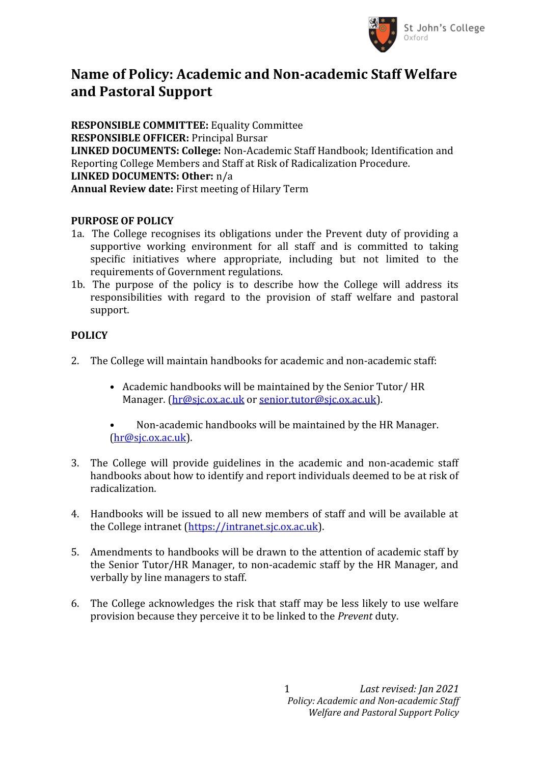

## **Name of Policy: Academic and Non-academic Staff Welfare and Pastoral Support**

**RESPONSIBLE COMMITTEE:** Equality Committee **RESPONSIBLE OFFICER:** Principal Bursar **LINKED DOCUMENTS: College:** Non-Academic Staff Handbook; Identification and Reporting College Members and Staff at Risk of Radicalization Procedure. **LINKED DOCUMENTS: Other:** n/a **Annual Review date:** First meeting of Hilary Term

## **PURPOSE OF POLICY**

- 1a. The College recognises its obligations under the Prevent duty of providing a supportive working environment for all staff and is committed to taking specific initiatives where appropriate, including but not limited to the requirements of Government regulations.
- 1b. The purpose of the policy is to describe how the College will address its responsibilities with regard to the provision of staff welfare and pastoral support.

## **POLICY**

- 2. The College will maintain handbooks for academic and non-academic staff:
	- Academic handbooks will be maintained by the Senior Tutor/ HR Manager. [\(hr@sjc.ox.ac.uk](mailto:hr@sjc.ox.ac.uk) or [senior.tutor@sjc.ox.ac.uk](mailto:senior.tutor@sjc.ox.ac.uk)).
	- Non-academic handbooks will be maintained by the HR Manager.  $(hr@sic.ox.ac.uk)$ .
- 3. The College will provide guidelines in the academic and non-academic staff handbooks about how to identify and report individuals deemed to be at risk of radicalization.
- 4. Handbooks will be issued to all new members of staff and will be available at the College intranet (https://intranet.sjc.ox.ac.uk).
- 5. Amendments to handbooks will be drawn to the attention of academic staff by the Senior Tutor/HR Manager, to non-academic staff by the HR Manager, and verbally by line managers to staff.
- 6. The College acknowledges the risk that staff may be less likely to use welfare provision because they perceive it to be linked to the *Prevent* duty.